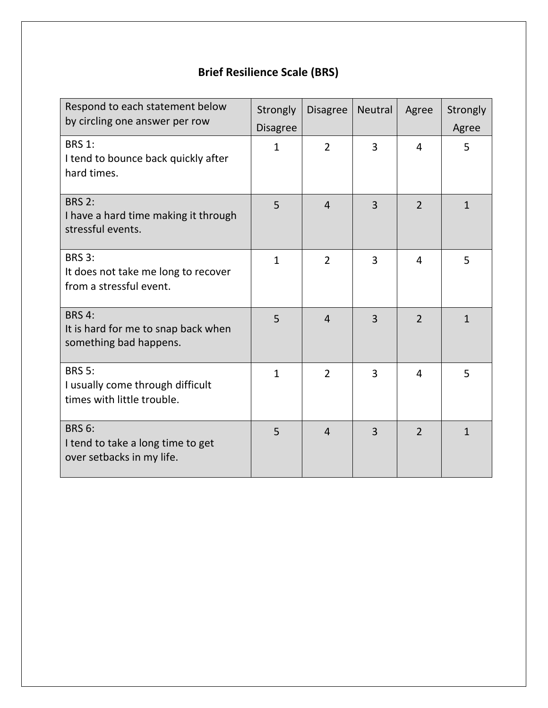# **Brief Resilience Scale (BRS)**

| Respond to each statement below<br>by circling one answer per row               | Strongly<br><b>Disagree</b> | <b>Disagree</b> | <b>Neutral</b> | Agree          | Strongly<br>Agree |
|---------------------------------------------------------------------------------|-----------------------------|-----------------|----------------|----------------|-------------------|
| <b>BRS 1:</b><br>I tend to bounce back quickly after<br>hard times.             | $\mathbf{1}$                | $\overline{2}$  | 3              | 4              | 5                 |
| <b>BRS 2:</b><br>I have a hard time making it through<br>stressful events.      | 5                           | $\overline{4}$  | 3              | $\overline{2}$ | $\mathbf{1}$      |
| <b>BRS 3:</b><br>It does not take me long to recover<br>from a stressful event. | $\mathbf{1}$                | $\overline{2}$  | 3              | $\overline{4}$ | 5                 |
| <b>BRS 4:</b><br>It is hard for me to snap back when<br>something bad happens.  | 5                           | $\overline{4}$  | $\overline{3}$ | $\overline{2}$ | $\mathbf{1}$      |
| <b>BRS 5:</b><br>I usually come through difficult<br>times with little trouble. | $\mathbf{1}$                | $\overline{2}$  | 3              | 4              | 5                 |
| <b>BRS 6:</b><br>I tend to take a long time to get<br>over setbacks in my life. | 5                           | $\overline{4}$  | 3              | $\overline{2}$ | $\mathbf{1}$      |